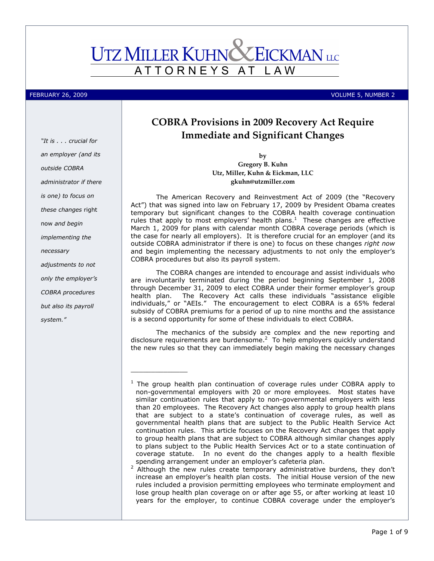# **UTZ MILLER KUHN CEICKMAN** LLC ATTORNEYS AT L A W

### FEBRUARY 26, 2009 VOLUME 5, NUMBER 2

"It is . . . crucial for an employer (and its outside COBRA administrator if there is one) to focus on these changes right now and begin implementing the necessary adjustments to not only the employer's COBRA procedures but also its payroll system."

# COBRA Provisions in 2009 Recovery Act Require Immediate and Significant Changes

by Gregory B. Kuhn Utz, Miller, Kuhn & Eickman, LLC gkuhn@utzmiller.com

The American Recovery and Reinvestment Act of 2009 (the "Recovery Act") that was signed into law on February 17, 2009 by President Obama creates temporary but significant changes to the COBRA health coverage continuation rules that apply to most employers' health plans. $<sup>1</sup>$  These changes are effective</sup> March 1, 2009 for plans with calendar month COBRA coverage periods (which is the case for nearly all employers). It is therefore crucial for an employer (and its outside COBRA administrator if there is one) to focus on these changes right now and begin implementing the necessary adjustments to not only the employer's COBRA procedures but also its payroll system.

The COBRA changes are intended to encourage and assist individuals who are involuntarily terminated during the period beginning September 1, 2008 through December 31, 2009 to elect COBRA under their former employer's group The Recovery Act calls these individuals "assistance eligible individuals," or "AEIs." The encouragement to elect COBRA is a 65% federal subsidy of COBRA premiums for a period of up to nine months and the assistance is a second opportunity for some of these individuals to elect COBRA.

The mechanics of the subsidy are complex and the new reporting and disclosure requirements are burdensome. $2$  To help employers quickly understand the new rules so that they can immediately begin making the necessary changes

\_\_\_\_\_\_\_\_\_\_\_\_\_\_

<sup>&</sup>lt;sup>1</sup> The group health plan continuation of coverage rules under COBRA apply to non-governmental employers with 20 or more employees. Most states have similar continuation rules that apply to non-governmental employers with less than 20 employees. The Recovery Act changes also apply to group health plans that are subject to a state's continuation of coverage rules, as well as governmental health plans that are subject to the Public Health Service Act continuation rules. This article focuses on the Recovery Act changes that apply to group health plans that are subject to COBRA although similar changes apply to plans subject to the Public Health Services Act or to a state continuation of coverage statute. In no event do the changes apply to a health flexible spending arrangement under an employer's cafeteria plan.

 $2$  Although the new rules create temporary administrative burdens, they don't increase an employer's health plan costs. The initial House version of the new rules included a provision permitting employees who terminate employment and lose group health plan coverage on or after age 55, or after working at least 10 years for the employer, to continue COBRA coverage under the employer's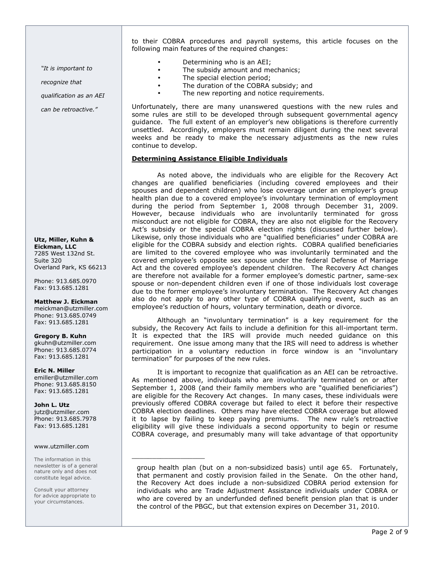"It is important to

recognize that

qualification as an AEI

can be retroactive."

Utz, Miller, Kuhn & Eickman, LLC 7285 West 132nd St. Suite 320 Overland Park, KS 66213

Phone: 913.685.0970 Fax: 913.685.1281

Matthew J. Eickman meickman@utzmiller.com Phone: 913.685.0749 Fax: 913.685.1281

Gregory B. Kuhn gkuhn@utzmiller.com Phone: 913.685.0774 Fax: 913.685.1281

Eric N. Miller emiller@utzmiller.com Phone: 913.685.8150 Fax: 913.685.1281

John L. Utz jutz@utzmiller.com Phone: 913.685.7978 Fax: 913.685.1281

#### www.utzmiller.com

The information in this newsletter is of a general nature only and does not constitute legal advice.

Consult your attorney for advice appropriate to your circumstances.

to their COBRA procedures and payroll systems, this article focuses on the following main features of the required changes:

- Determining who is an AEI;
- The subsidy amount and mechanics;
- The special election period;
- The duration of the COBRA subsidy; and
- The new reporting and notice requirements.

Unfortunately, there are many unanswered questions with the new rules and some rules are still to be developed through subsequent governmental agency guidance. The full extent of an employer's new obligations is therefore currently unsettled. Accordingly, employers must remain diligent during the next several weeks and be ready to make the necessary adjustments as the new rules continue to develop.

# Determining Assistance Eligible Individuals

\_\_\_\_\_\_\_\_\_\_\_\_\_\_\_\_\_\_

As noted above, the individuals who are eligible for the Recovery Act changes are qualified beneficiaries (including covered employees and their spouses and dependent children) who lose coverage under an employer's group health plan due to a covered employee's involuntary termination of employment during the period from September 1, 2008 through December 31, 2009. However, because individuals who are involuntarily terminated for gross misconduct are not eligible for COBRA, they are also not eligible for the Recovery Act's subsidy or the special COBRA election rights (discussed further below). Likewise, only those individuals who are "qualified beneficiaries" under COBRA are eligible for the COBRA subsidy and election rights. COBRA qualified beneficiaries are limited to the covered employee who was involuntarily terminated and the covered employee's opposite sex spouse under the federal Defense of Marriage Act and the covered employee's dependent children. The Recovery Act changes are therefore not available for a former employee's domestic partner, same-sex spouse or non-dependent children even if one of those individuals lost coverage due to the former employee's involuntary termination. The Recovery Act changes also do not apply to any other type of COBRA qualifying event, such as an employee's reduction of hours, voluntary termination, death or divorce.

Although an "involuntary termination" is a key requirement for the subsidy, the Recovery Act fails to include a definition for this all-important term. It is expected that the IRS will provide much needed guidance on this requirement. One issue among many that the IRS will need to address is whether participation in a voluntary reduction in force window is an "involuntary termination" for purposes of the new rules.

It is important to recognize that qualification as an AEI can be retroactive. As mentioned above, individuals who are involuntarily terminated on or after September 1, 2008 (and their family members who are "qualified beneficiaries") are eligible for the Recovery Act changes. In many cases, these individuals were previously offered COBRA coverage but failed to elect it before their respective COBRA election deadlines. Others may have elected COBRA coverage but allowed it to lapse by failing to keep paying premiums. The new rule's retroactive eligibility will give these individuals a second opportunity to begin or resume COBRA coverage, and presumably many will take advantage of that opportunity

group health plan (but on a non-subsidized basis) until age 65. Fortunately, that permanent and costly provision failed in the Senate. On the other hand, the Recovery Act does include a non-subsidized COBRA period extension for individuals who are Trade Adjustment Assistance individuals under COBRA or who are covered by an underfunded defined benefit pension plan that is under the control of the PBGC, but that extension expires on December 31, 2010.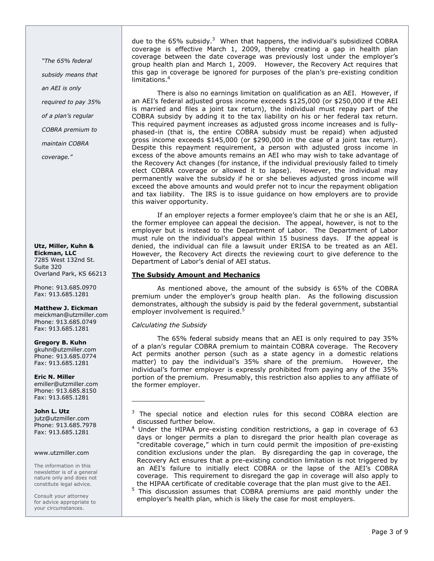"The 65% federal subsidy means that an AEI is only required to pay 35% of a plan's regular COBRA premium to maintain COBRA coverage."

#### Utz, Miller, Kuhn & Eickman, LLC 7285 West 132nd St. Suite 320 Overland Park, KS 66213

Phone: 913.685.0970 Fax: 913.685.1281

# Matthew J. Eickman

meickman@utzmiller.com Phone: 913.685.0749 Fax: 913.685.1281

# Gregory B. Kuhn

gkuhn@utzmiller.com Phone: 913.685.0774 Fax: 913.685.1281

# Eric N. Miller

emiller@utzmiller.com Phone: 913.685.8150 Fax: 913.685.1281

# John L. Utz

jutz@utzmiller.com Phone: 913.685.7978 Fax: 913.685.1281

# www.utzmiller.com

The information in this newsletter is of a general nature only and does not constitute legal advice.

Consult your attorney for advice appropriate to your circumstances.

due to the 65% subsidy. $3$  When that happens, the individual's subsidized COBRA coverage is effective March 1, 2009, thereby creating a gap in health plan coverage between the date coverage was previously lost under the employer's group health plan and March 1, 2009. However, the Recovery Act requires that this gap in coverage be ignored for purposes of the plan's pre-existing condition limitations.<sup>4</sup>

There is also no earnings limitation on qualification as an AEI. However, if an AEI's federal adjusted gross income exceeds \$125,000 (or \$250,000 if the AEI is married and files a joint tax return), the individual must repay part of the COBRA subsidy by adding it to the tax liability on his or her federal tax return. This required payment increases as adjusted gross income increases and is fullyphased-in (that is, the entire COBRA subsidy must be repaid) when adjusted gross income exceeds \$145,000 (or \$290,000 in the case of a joint tax return). Despite this repayment requirement, a person with adjusted gross income in excess of the above amounts remains an AEI who may wish to take advantage of the Recovery Act changes (for instance, if the individual previously failed to timely elect COBRA coverage or allowed it to lapse). However, the individual may permanently waive the subsidy if he or she believes adjusted gross income will exceed the above amounts and would prefer not to incur the repayment obligation and tax liability. The IRS is to issue guidance on how employers are to provide this waiver opportunity.

If an employer rejects a former employee's claim that he or she is an AEI, the former employee can appeal the decision. The appeal, however, is not to the employer but is instead to the Department of Labor. The Department of Labor must rule on the individual's appeal within 15 business days. If the appeal is denied, the individual can file a lawsuit under ERISA to be treated as an AEI. However, the Recovery Act directs the reviewing court to give deference to the Department of Labor's denial of AEI status.

# The Subsidy Amount and Mechanics

As mentioned above, the amount of the subsidy is 65% of the COBRA premium under the employer's group health plan. As the following discussion demonstrates, although the subsidy is paid by the federal government, substantial employer involvement is required.<sup>5</sup>

# Calculating the Subsidy

\_\_\_\_\_\_\_\_\_\_\_\_\_\_\_\_\_\_

The 65% federal subsidy means that an AEI is only required to pay 35% of a plan's regular COBRA premium to maintain COBRA coverage. The Recovery Act permits another person (such as a state agency in a domestic relations matter) to pay the individual's 35% share of the premium. However, the individual's former employer is expressly prohibited from paying any of the 35% portion of the premium. Presumably, this restriction also applies to any affiliate of the former employer.

<sup>4</sup> Under the HIPAA pre-existing condition restrictions, a gap in coverage of 63 days or longer permits a plan to disregard the prior health plan coverage as "creditable coverage," which in turn could permit the imposition of pre-existing condition exclusions under the plan. By disregarding the gap in coverage, the Recovery Act ensures that a pre-existing condition limitation is not triggered by an AEI's failure to initially elect COBRA or the lapse of the AEI's COBRA coverage. This requirement to disregard the gap in coverage will also apply to the HIPAA certificate of creditable coverage that the plan must give to the AEI.

<sup>5</sup> This discussion assumes that COBRA premiums are paid monthly under the employer's health plan, which is likely the case for most employers.

<sup>3</sup> The special notice and election rules for this second COBRA election are discussed further below.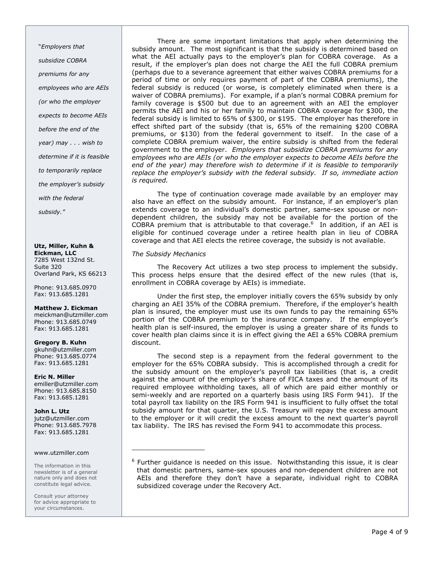"Employers that subsidize COBRA premiums for any employees who are AEIs (or who the employer expects to become AEIs before the end of the year) may . . . wish to determine if it is feasible to temporarily replace the employer's subsidy with the federal subsidy."

#### Utz, Miller, Kuhn & Eickman, LLC 7285 West 132nd St. Suite 320 Overland Park, KS 66213

Phone: 913.685.0970 Fax: 913.685.1281

# Matthew J. Eickman

meickman@utzmiller.com Phone: 913.685.0749 Fax: 913.685.1281

# Gregory B. Kuhn

gkuhn@utzmiller.com Phone: 913.685.0774 Fax: 913.685.1281

#### Eric N. Miller emiller@utzmiller.com

Phone: 913.685.8150 Fax: 913.685.1281

# John L. Utz

jutz@utzmiller.com Phone: 913.685.7978 Fax: 913.685.1281

### www.utzmiller.com

The information in this newsletter is of a general nature only and does not constitute legal advice.

Consult your attorney for advice appropriate to your circumstances.

There are some important limitations that apply when determining the subsidy amount. The most significant is that the subsidy is determined based on what the AEI actually pays to the employer's plan for COBRA coverage. As a result, if the employer's plan does not charge the AEI the full COBRA premium (perhaps due to a severance agreement that either waives COBRA premiums for a period of time or only requires payment of part of the COBRA premiums), the federal subsidy is reduced (or worse, is completely eliminated when there is a waiver of COBRA premiums). For example, if a plan's normal COBRA premium for family coverage is \$500 but due to an agreement with an AEI the employer permits the AEI and his or her family to maintain COBRA coverage for \$300, the federal subsidy is limited to 65% of \$300, or \$195. The employer has therefore in effect shifted part of the subsidy (that is, 65% of the remaining \$200 COBRA premiums, or \$130) from the federal government to itself. In the case of a complete COBRA premium waiver, the entire subsidy is shifted from the federal government to the employer. Employers that subsidize COBRA premiums for any employees who are AEIs (or who the employer expects to become AEIs before the end of the year) may therefore wish to determine if it is feasible to temporarily replace the employer's subsidy with the federal subsidy. If so, immediate action is required.

The type of continuation coverage made available by an employer may also have an effect on the subsidy amount. For instance, if an employer's plan extends coverage to an individual's domestic partner, same-sex spouse or nondependent children, the subsidy may not be available for the portion of the COBRA premium that is attributable to that coverage. $6$  In addition, if an AEI is eligible for continued coverage under a retiree health plan in lieu of COBRA coverage and that AEI elects the retiree coverage, the subsidy is not available.

# The Subsidy Mechanics

\_\_\_\_\_\_\_\_\_\_\_\_\_\_\_\_\_\_

The Recovery Act utilizes a two step process to implement the subsidy. This process helps ensure that the desired effect of the new rules (that is, enrollment in COBRA coverage by AEIs) is immediate.

Under the first step, the employer initially covers the 65% subsidy by only charging an AEI 35% of the COBRA premium. Therefore, if the employer's health plan is insured, the employer must use its own funds to pay the remaining 65% portion of the COBRA premium to the insurance company. If the employer's health plan is self-insured, the employer is using a greater share of its funds to cover health plan claims since it is in effect giving the AEI a 65% COBRA premium discount.

The second step is a repayment from the federal government to the employer for the 65% COBRA subsidy. This is accomplished through a credit for the subsidy amount on the employer's payroll tax liabilities (that is, a credit against the amount of the employer's share of FICA taxes and the amount of its required employee withholding taxes, all of which are paid either monthly or semi-weekly and are reported on a quarterly basis using IRS Form 941). If the total payroll tax liability on the IRS Form 941 is insufficient to fully offset the total subsidy amount for that quarter, the U.S. Treasury will repay the excess amount to the employer or it will credit the excess amount to the next quarter's payroll tax liability. The IRS has revised the Form 941 to accommodate this process.

<sup>&</sup>lt;sup>6</sup> Further guidance is needed on this issue. Notwithstanding this issue, it is clear that domestic partners, same-sex spouses and non-dependent children are not AEIs and therefore they don't have a separate, individual right to COBRA subsidized coverage under the Recovery Act.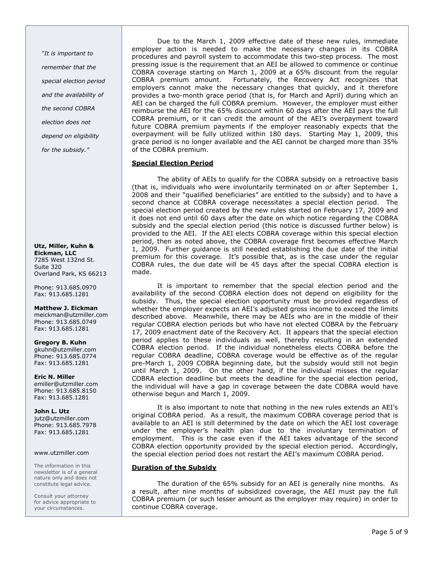"It is important to remember that the special election period and the availability of the second COBRA election does not depend on eligibility for the subsidy."

Utz, Miller, Kuhn & Eickman, LLC 7285 West 132nd St. Suite 320 Overland Park, KS 66213

Phone: 913.685.0970 Fax: 913.685.1281

Matthew J. Eickman meickman@utzmiller.com

Phone: 913.685.0749 Fax: 913.685.1281

Gregory B. Kuhn gkuhn@utzmiller.com Phone: 913.685.0774 Fax: 913.685.1281

Eric N. Miller emiller@utzmiller.com Phone: 913.685.8150 Fax: 913.685.1281

# John L. Utz

jutz@utzmiller.com Phone: 913.685.7978 Fax: 913.685.1281

# www.utzmiller.com

The information in this newsletter is of a general nature only and does not constitute legal advice.

Consult your attorney for advice appropriate to your circumstances.

Due to the March 1, 2009 effective date of these new rules, immediate employer action is needed to make the necessary changes in its COBRA procedures and payroll system to accommodate this two-step process. The most pressing issue is the requirement that an AEI be allowed to commence or continue COBRA coverage starting on March 1, 2009 at a 65% discount from the regular COBRA premium amount. Fortunately, the Recovery Act recognizes that employers cannot make the necessary changes that quickly, and it therefore provides a two-month grace period (that is, for March and April) during which an AEI can be charged the full COBRA premium. However, the employer must either reimburse the AEI for the 65% discount within 60 days after the AEI pays the full COBRA premium, or it can credit the amount of the AEI's overpayment toward future COBRA premium payments if the employer reasonably expects that the overpayment will be fully utilized within 180 days. Starting May 1, 2009, this grace period is no longer available and the AEI cannot be charged more than 35% of the COBRA premium.

# Special Election Period

The ability of AEIs to qualify for the COBRA subsidy on a retroactive basis (that is, individuals who were involuntarily terminated on or after September 1, 2008 and their "qualified beneficiaries" are entitled to the subsidy) and to have a second chance at COBRA coverage necessitates a special election period. The special election period created by the new rules started on February 17, 2009 and it does not end until 60 days after the date on which notice regarding the COBRA subsidy and the special election period (this notice is discussed further below) is provided to the AEI. If the AEI elects COBRA coverage within this special election period, then as noted above, the COBRA coverage first becomes effective March 1, 2009. Further guidance is still needed establishing the due date of the initial premium for this coverage. It's possible that, as is the case under the regular COBRA rules, the due date will be 45 days after the special COBRA election is made.

It is important to remember that the special election period and the availability of the second COBRA election does not depend on eligibility for the subsidy. Thus, the special election opportunity must be provided regardless of whether the employer expects an AEI's adjusted gross income to exceed the limits described above. Meanwhile, there may be AEIs who are in the middle of their regular COBRA election periods but who have not elected COBRA by the February 17, 2009 enactment date of the Recovery Act. It appears that the special election period applies to these individuals as well, thereby resulting in an extended COBRA election period. If the individual nonetheless elects COBRA before the regular COBRA deadline, COBRA coverage would be effective as of the regular pre-March 1, 2009 COBRA beginning date, but the subsidy would still not begin until March 1, 2009. On the other hand, if the individual misses the regular COBRA election deadline but meets the deadline for the special election period, the individual will have a gap in coverage between the date COBRA would have otherwise begun and March 1, 2009.

It is also important to note that nothing in the new rules extends an AEI's original COBRA period. As a result, the maximum COBRA coverage period that is available to an AEI is still determined by the date on which the AEI lost coverage under the employer's health plan due to the involuntary termination of employment. This is the case even if the AEI takes advantage of the second COBRA election opportunity provided by the special election period. Accordingly, the special election period does not restart the AEI's maximum COBRA period.

# Duration of the Subsidy

The duration of the 65% subsidy for an AEI is generally nine months. As a result, after nine months of subsidized coverage, the AEI must pay the full COBRA premium (or such lesser amount as the employer may require) in order to continue COBRA coverage.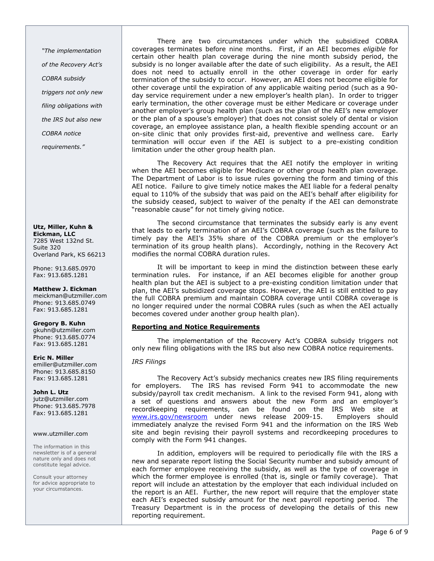"The implementation of the Recovery Act's COBRA subsidy triggers not only new filing obligations with the IRS but also new COBRA notice

requirements."

Utz, Miller, Kuhn & Eickman, LLC 7285 West 132nd St. Suite 320 Overland Park, KS 66213

Phone: 913.685.0970 Fax: 913.685.1281

Matthew J. Eickman meickman@utzmiller.com Phone: 913.685.0749 Fax: 913.685.1281

Gregory B. Kuhn gkuhn@utzmiller.com Phone: 913.685.0774 Fax: 913.685.1281

Eric N. Miller emiller@utzmiller.com Phone: 913.685.8150 Fax: 913.685.1281

John L. Utz jutz@utzmiller.com Phone: 913.685.7978 Fax: 913.685.1281

#### www.utzmiller.com

The information in this newsletter is of a general nature only and does not constitute legal advice.

Consult your attorney for advice appropriate to your circumstances.

There are two circumstances under which the subsidized COBRA coverages terminates before nine months. First, if an AEI becomes eligible for certain other health plan coverage during the nine month subsidy period, the subsidy is no longer available after the date of such eligibility. As a result, the AEI does not need to actually enroll in the other coverage in order for early termination of the subsidy to occur. However, an AEI does not become eligible for other coverage until the expiration of any applicable waiting period (such as a 90 day service requirement under a new employer's health plan). In order to trigger early termination, the other coverage must be either Medicare or coverage under another employer's group health plan (such as the plan of the AEI's new employer or the plan of a spouse's employer) that does not consist solely of dental or vision coverage, an employee assistance plan, a health flexible spending account or an on-site clinic that only provides first-aid, preventive and wellness care. Early termination will occur even if the AEI is subject to a pre-existing condition limitation under the other group health plan.

The Recovery Act requires that the AEI notify the employer in writing when the AEI becomes eligible for Medicare or other group health plan coverage. The Department of Labor is to issue rules governing the form and timing of this AEI notice. Failure to give timely notice makes the AEI liable for a federal penalty equal to 110% of the subsidy that was paid on the AEI's behalf after eligibility for the subsidy ceased, subject to waiver of the penalty if the AEI can demonstrate "reasonable cause" for not timely giving notice.

The second circumstance that terminates the subsidy early is any event that leads to early termination of an AEI's COBRA coverage (such as the failure to timely pay the AEI's 35% share of the COBRA premium or the employer's termination of its group health plans). Accordingly, nothing in the Recovery Act modifies the normal COBRA duration rules.

It will be important to keep in mind the distinction between these early termination rules. For instance, if an AEI becomes eligible for another group health plan but the AEI is subject to a pre-existing condition limitation under that plan, the AEI's subsidized coverage stops. However, the AEI is still entitled to pay the full COBRA premium and maintain COBRA coverage until COBRA coverage is no longer required under the normal COBRA rules (such as when the AEI actually becomes covered under another group health plan).

# Reporting and Notice Requirements

The implementation of the Recovery Act's COBRA subsidy triggers not only new filing obligations with the IRS but also new COBRA notice requirements.

# IRS Filings

The Recovery Act's subsidy mechanics creates new IRS filing requirements for employers. The IRS has revised Form 941 to accommodate the new subsidy/payroll tax credit mechanism. A link to the revised Form 941, along with a set of questions and answers about the new Form and an employer's recordkeeping requirements, can be found on the IRS Web site at www.irs.gov/newsroom under news release 2009-15. Employers should immediately analyze the revised Form 941 and the information on the IRS Web site and begin revising their payroll systems and recordkeeping procedures to comply with the Form 941 changes.

In addition, employers will be required to periodically file with the IRS a new and separate report listing the Social Security number and subsidy amount of each former employee receiving the subsidy, as well as the type of coverage in which the former employee is enrolled (that is, single or family coverage). That report will include an attestation by the employer that each individual included on the report is an AEI. Further, the new report will require that the employer state each AEI's expected subsidy amount for the next payroll reporting period. The Treasury Department is in the process of developing the details of this new reporting requirement.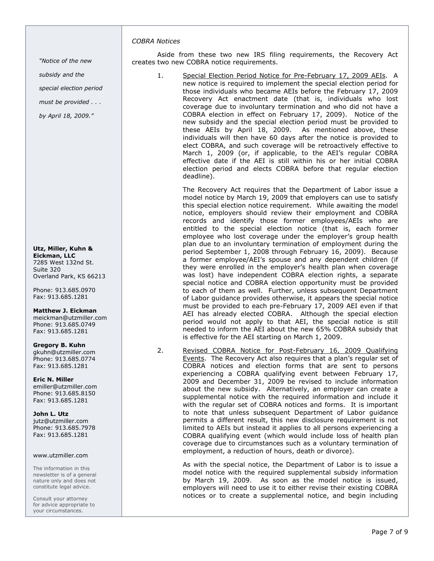### COBRA Notices

"Notice of the new

subsidy and the

special election period

must be provided . . .

by April 18, 2009."

#### Utz, Miller, Kuhn & Eickman, LLC 7285 West 132nd St. Suite 320

Overland Park, KS 66213 Phone: 913.685.0970

# Matthew J. Eickman

Fax: 913.685.1281

meickman@utzmiller.com Phone: 913.685.0749 Fax: 913.685.1281

# Gregory B. Kuhn

gkuhn@utzmiller.com Phone: 913.685.0774 Fax: 913.685.1281

# Eric N. Miller

emiller@utzmiller.com Phone: 913.685.8150 Fax: 913.685.1281

# John L. Utz

jutz@utzmiller.com Phone: 913.685.7978 Fax: 913.685.1281

#### www.utzmiller.com

The information in this newsletter is of a general nature only and does not constitute legal advice.

Consult your attorney for advice appropriate to your circumstances.

# Aside from these two new IRS filing requirements, the Recovery Act creates two new COBRA notice requirements.

1. Special Election Period Notice for Pre-February 17, 2009 AEIs. A new notice is required to implement the special election period for those individuals who became AEIs before the February 17, 2009 Recovery Act enactment date (that is, individuals who lost coverage due to involuntary termination and who did not have a COBRA election in effect on February 17, 2009). Notice of the new subsidy and the special election period must be provided to these AEIs by April 18, 2009. As mentioned above, these individuals will then have 60 days after the notice is provided to elect COBRA, and such coverage will be retroactively effective to March 1, 2009 (or, if applicable, to the AEI's regular COBRA effective date if the AEI is still within his or her initial COBRA election period and elects COBRA before that regular election deadline).

> The Recovery Act requires that the Department of Labor issue a model notice by March 19, 2009 that employers can use to satisfy this special election notice requirement. While awaiting the model notice, employers should review their employment and COBRA records and identify those former employees/AEIs who are entitled to the special election notice (that is, each former employee who lost coverage under the employer's group health plan due to an involuntary termination of employment during the period September 1, 2008 through February 16, 2009). Because a former employee/AEI's spouse and any dependent children (if they were enrolled in the employer's health plan when coverage was lost) have independent COBRA election rights, a separate special notice and COBRA election opportunity must be provided to each of them as well. Further, unless subsequent Department of Labor guidance provides otherwise, it appears the special notice must be provided to each pre-February 17, 2009 AEI even if that AEI has already elected COBRA. Although the special election period would not apply to that AEI, the special notice is still needed to inform the AEI about the new 65% COBRA subsidy that is effective for the AEI starting on March 1, 2009.

2. Revised COBRA Notice for Post-February 16, 2009 Qualifying Events. The Recovery Act also requires that a plan's regular set of COBRA notices and election forms that are sent to persons experiencing a COBRA qualifying event between February 17, 2009 and December 31, 2009 be revised to include information about the new subsidy. Alternatively, an employer can create a supplemental notice with the required information and include it with the regular set of COBRA notices and forms. It is important to note that unless subsequent Department of Labor guidance permits a different result, this new disclosure requirement is not limited to AEIs but instead it applies to all persons experiencing a COBRA qualifying event (which would include loss of health plan coverage due to circumstances such as a voluntary termination of employment, a reduction of hours, death or divorce).

> As with the special notice, the Department of Labor is to issue a model notice with the required supplemental subsidy information by March 19, 2009. As soon as the model notice is issued, employers will need to use it to either revise their existing COBRA notices or to create a supplemental notice, and begin including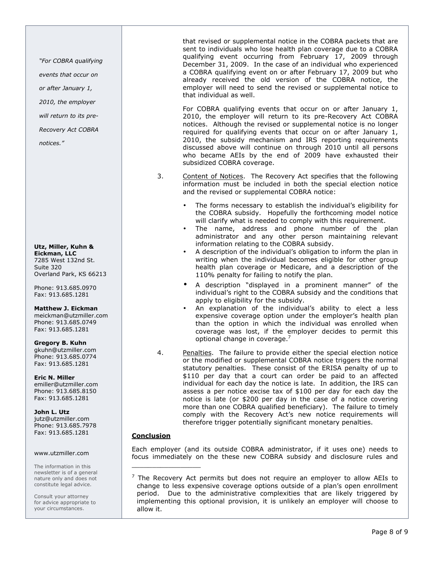"For COBRA qualifying

events that occur on

or after January 1,

2010, the employer

will return to its pre-

Recovery Act COBRA

notices."

Utz, Miller, Kuhn & Eickman, LLC

7285 West 132nd St. Suite 320 Overland Park, KS 66213

Phone: 913.685.0970 Fax: 913.685.1281

# Matthew J. Eickman

meickman@utzmiller.com Phone: 913.685.0749 Fax: 913.685.1281

# Gregory B. Kuhn

gkuhn@utzmiller.com Phone: 913.685.0774 Fax: 913.685.1281

# Eric N. Miller

emiller@utzmiller.com Phone: 913.685.8150 Fax: 913.685.1281

# John L. Utz

jutz@utzmiller.com Phone: 913.685.7978 Fax: 913.685.1281

# www.utzmiller.com

The information in this newsletter is of a general nature only and does not constitute legal advice.

Consult your attorney for advice appropriate to your circumstances.

that revised or supplemental notice in the COBRA packets that are sent to individuals who lose health plan coverage due to a COBRA qualifying event occurring from February 17, 2009 through December 31, 2009. In the case of an individual who experienced a COBRA qualifying event on or after February 17, 2009 but who already received the old version of the COBRA notice, the employer will need to send the revised or supplemental notice to that individual as well.

For COBRA qualifying events that occur on or after January 1, 2010, the employer will return to its pre-Recovery Act COBRA notices. Although the revised or supplemental notice is no longer required for qualifying events that occur on or after January 1, 2010, the subsidy mechanism and IRS reporting requirements discussed above will continue on through 2010 until all persons who became AEIs by the end of 2009 have exhausted their subsidized COBRA coverage.

- 3. Content of Notices. The Recovery Act specifies that the following information must be included in both the special election notice and the revised or supplemental COBRA notice:
	- The forms necessary to establish the individual's eligibility for the COBRA subsidy. Hopefully the forthcoming model notice will clarify what is needed to comply with this requirement.
	- The name, address and phone number of the plan administrator and any other person maintaining relevant information relating to the COBRA subsidy.
	- A description of the individual's obligation to inform the plan in writing when the individual becomes eligible for other group health plan coverage or Medicare, and a description of the 110% penalty for failing to notify the plan.
	- A description "displayed in a prominent manner" of the individual's right to the COBRA subsidy and the conditions that apply to eligibility for the subsidy.
	- An explanation of the individual's ability to elect a less expensive coverage option under the employer's health plan than the option in which the individual was enrolled when coverage was lost, if the employer decides to permit this optional change in coverage.<sup>7</sup>
- 4. Penalties. The failure to provide either the special election notice or the modified or supplemental COBRA notice triggers the normal statutory penalties. These consist of the ERISA penalty of up to \$110 per day that a court can order be paid to an affected individual for each day the notice is late. In addition, the IRS can assess a per notice excise tax of \$100 per day for each day the notice is late (or \$200 per day in the case of a notice covering more than one COBRA qualified beneficiary). The failure to timely comply with the Recovery Act's new notice requirements will therefore trigger potentially significant monetary penalties.

# **Conclusion**

Each employer (and its outside COBRA administrator, if it uses one) needs to focus immediately on the these new COBRA subsidy and disclosure rules and \_\_\_\_\_\_\_\_\_\_\_\_\_\_\_\_\_

 $<sup>7</sup>$  The Recovery Act permits but does not require an employer to allow AEIs to</sup> change to less expensive coverage options outside of a plan's open enrollment period. Due to the administrative complexities that are likely triggered by implementing this optional provision, it is unlikely an employer will choose to allow it.